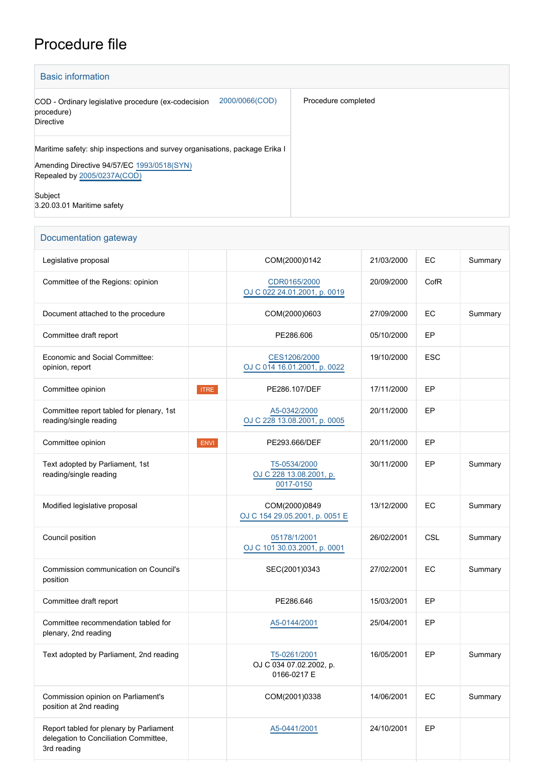## Procedure file

| <b>Basic information</b>                                                                                                                                 |                     |  |  |  |  |  |
|----------------------------------------------------------------------------------------------------------------------------------------------------------|---------------------|--|--|--|--|--|
| 2000/0066(COD)<br>COD - Ordinary legislative procedure (ex-codecision<br>procedure)<br><b>Directive</b>                                                  | Procedure completed |  |  |  |  |  |
| Maritime safety: ship inspections and survey organisations, package Erika I<br>Amending Directive 94/57/EC 1993/0518(SYN)<br>Repealed by 2005/0237A(COD) |                     |  |  |  |  |  |
| Subject<br>3.20.03.01 Maritime safety                                                                                                                    |                     |  |  |  |  |  |

| Documentation gateway                                                                           |             |                                                        |            |            |         |  |
|-------------------------------------------------------------------------------------------------|-------------|--------------------------------------------------------|------------|------------|---------|--|
| Legislative proposal                                                                            |             | COM(2000)0142                                          | 21/03/2000 | EC         | Summary |  |
| Committee of the Regions: opinion                                                               |             | CDR0165/2000<br>OJ C 022 24.01.2001, p. 0019           | 20/09/2000 | CofR       |         |  |
| Document attached to the procedure                                                              |             | COM(2000)0603                                          | 27/09/2000 | EC         | Summary |  |
| Committee draft report                                                                          |             | PE286.606                                              | 05/10/2000 | EP         |         |  |
| Economic and Social Committee:<br>opinion, report                                               |             | CES1206/2000<br>OJ C 014 16.01.2001, p. 0022           | 19/10/2000 | <b>ESC</b> |         |  |
| Committee opinion                                                                               | <b>ITRE</b> | PE286.107/DEF                                          | 17/11/2000 | EP         |         |  |
| Committee report tabled for plenary, 1st<br>reading/single reading                              |             | A5-0342/2000<br>OJ C 228 13.08.2001, p. 0005           | 20/11/2000 | EP         |         |  |
| Committee opinion                                                                               | <b>ENVI</b> | PE293.666/DEF                                          | 20/11/2000 | EP         |         |  |
| Text adopted by Parliament, 1st<br>reading/single reading                                       |             | T5-0534/2000<br>OJ C 228 13.08.2001, p.<br>0017-0150   | 30/11/2000 | EP         | Summary |  |
| Modified legislative proposal                                                                   |             | COM(2000)0849<br>OJ C 154 29.05.2001, p. 0051 E        | 13/12/2000 | EC         | Summary |  |
| Council position                                                                                |             | 05178/1/2001<br>OJ C 101 30.03.2001, p. 0001           | 26/02/2001 | <b>CSL</b> | Summary |  |
| Commission communication on Council's<br>position                                               |             | SEC(2001)0343                                          | 27/02/2001 | EС         | Summary |  |
| Committee draft report                                                                          |             | PE286.646                                              | 15/03/2001 | EP         |         |  |
| Committee recommendation tabled for<br>plenary, 2nd reading                                     |             | A5-0144/2001                                           | 25/04/2001 | EP         |         |  |
| Text adopted by Parliament, 2nd reading                                                         |             | T5-0261/2001<br>OJ C 034 07.02.2002, p.<br>0166-0217 E | 16/05/2001 | EP         | Summary |  |
| Commission opinion on Parliament's<br>position at 2nd reading                                   |             | COM(2001)0338                                          | 14/06/2001 | EC         | Summary |  |
| Report tabled for plenary by Parliament<br>delegation to Conciliation Committee,<br>3rd reading |             | A5-0441/2001                                           | 24/10/2001 | EP         |         |  |